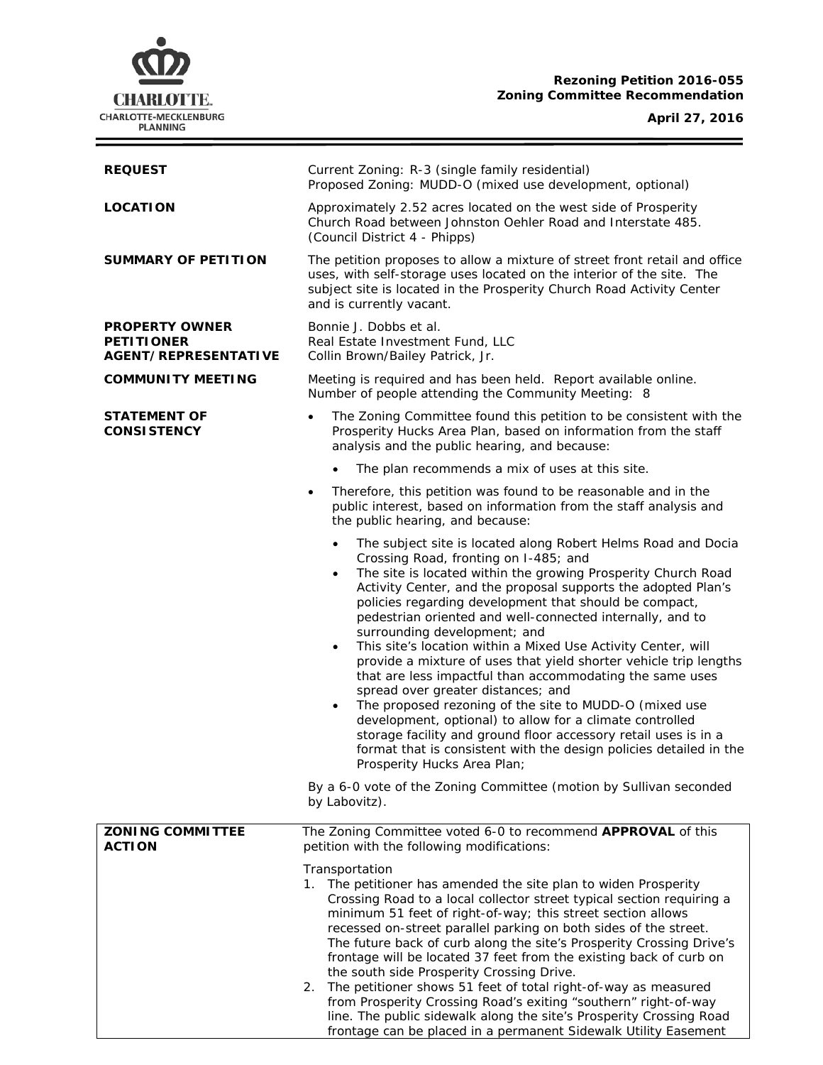## **Rezoning Petition 2016-055 Zoning Committee Recommendation**

**CHARLOTTE.** CHARLOTTE-MECKLENBURG<br>PLANNING

**April 27, 2016**

 $\equiv$ 

| <b>REQUEST</b>                                                            | Current Zoning: R-3 (single family residential)<br>Proposed Zoning: MUDD-O (mixed use development, optional)                                                                                                                                                                                                                                                                                                                                                                                                                                                                                                                                                                                                                                                                                                                                                                                                                                                                      |
|---------------------------------------------------------------------------|-----------------------------------------------------------------------------------------------------------------------------------------------------------------------------------------------------------------------------------------------------------------------------------------------------------------------------------------------------------------------------------------------------------------------------------------------------------------------------------------------------------------------------------------------------------------------------------------------------------------------------------------------------------------------------------------------------------------------------------------------------------------------------------------------------------------------------------------------------------------------------------------------------------------------------------------------------------------------------------|
| <b>LOCATION</b>                                                           | Approximately 2.52 acres located on the west side of Prosperity<br>Church Road between Johnston Oehler Road and Interstate 485.<br>(Council District 4 - Phipps)                                                                                                                                                                                                                                                                                                                                                                                                                                                                                                                                                                                                                                                                                                                                                                                                                  |
| <b>SUMMARY OF PETITION</b>                                                | The petition proposes to allow a mixture of street front retail and office<br>uses, with self-storage uses located on the interior of the site. The<br>subject site is located in the Prosperity Church Road Activity Center<br>and is currently vacant.                                                                                                                                                                                                                                                                                                                                                                                                                                                                                                                                                                                                                                                                                                                          |
| <b>PROPERTY OWNER</b><br><b>PETITIONER</b><br><b>AGENT/REPRESENTATIVE</b> | Bonnie J. Dobbs et al.<br>Real Estate Investment Fund, LLC<br>Collin Brown/Bailey Patrick, Jr.                                                                                                                                                                                                                                                                                                                                                                                                                                                                                                                                                                                                                                                                                                                                                                                                                                                                                    |
| <b>COMMUNITY MEETING</b>                                                  | Meeting is required and has been held. Report available online.<br>Number of people attending the Community Meeting: 8                                                                                                                                                                                                                                                                                                                                                                                                                                                                                                                                                                                                                                                                                                                                                                                                                                                            |
| <b>STATEMENT OF</b><br><b>CONSISTENCY</b>                                 | The Zoning Committee found this petition to be consistent with the<br>$\bullet$<br>Prosperity Hucks Area Plan, based on information from the staff<br>analysis and the public hearing, and because:                                                                                                                                                                                                                                                                                                                                                                                                                                                                                                                                                                                                                                                                                                                                                                               |
|                                                                           | The plan recommends a mix of uses at this site.                                                                                                                                                                                                                                                                                                                                                                                                                                                                                                                                                                                                                                                                                                                                                                                                                                                                                                                                   |
|                                                                           | Therefore, this petition was found to be reasonable and in the<br>$\bullet$<br>public interest, based on information from the staff analysis and<br>the public hearing, and because:                                                                                                                                                                                                                                                                                                                                                                                                                                                                                                                                                                                                                                                                                                                                                                                              |
|                                                                           | The subject site is located along Robert Helms Road and Docia<br>$\bullet$<br>Crossing Road, fronting on I-485; and<br>The site is located within the growing Prosperity Church Road<br>$\bullet$<br>Activity Center, and the proposal supports the adopted Plan's<br>policies regarding development that should be compact,<br>pedestrian oriented and well-connected internally, and to<br>surrounding development; and<br>This site's location within a Mixed Use Activity Center, will<br>$\bullet$<br>provide a mixture of uses that yield shorter vehicle trip lengths<br>that are less impactful than accommodating the same uses<br>spread over greater distances; and<br>The proposed rezoning of the site to MUDD-O (mixed use<br>٠<br>development, optional) to allow for a climate controlled<br>storage facility and ground floor accessory retail uses is in a<br>format that is consistent with the design policies detailed in the<br>Prosperity Hucks Area Plan; |
|                                                                           | By a 6-0 vote of the Zoning Committee (motion by Sullivan seconded<br>by Labovitz).                                                                                                                                                                                                                                                                                                                                                                                                                                                                                                                                                                                                                                                                                                                                                                                                                                                                                               |
| <b>ZONING COMMITTEE</b><br><b>ACTION</b>                                  | The Zoning Committee voted 6-0 to recommend APPROVAL of this<br>petition with the following modifications:                                                                                                                                                                                                                                                                                                                                                                                                                                                                                                                                                                                                                                                                                                                                                                                                                                                                        |
|                                                                           | Transportation<br>1. The petitioner has amended the site plan to widen Prosperity<br>Crossing Road to a local collector street typical section requiring a<br>minimum 51 feet of right-of-way; this street section allows<br>recessed on-street parallel parking on both sides of the street.<br>The future back of curb along the site's Prosperity Crossing Drive's<br>frontage will be located 37 feet from the existing back of curb on<br>the south side Prosperity Crossing Drive.<br>The petitioner shows 51 feet of total right-of-way as measured<br>2.<br>from Prosperity Crossing Road's exiting "southern" right-of-way                                                                                                                                                                                                                                                                                                                                               |
|                                                                           | line. The public sidewalk along the site's Prosperity Crossing Road<br>frontage can be placed in a permanent Sidewalk Utility Easement                                                                                                                                                                                                                                                                                                                                                                                                                                                                                                                                                                                                                                                                                                                                                                                                                                            |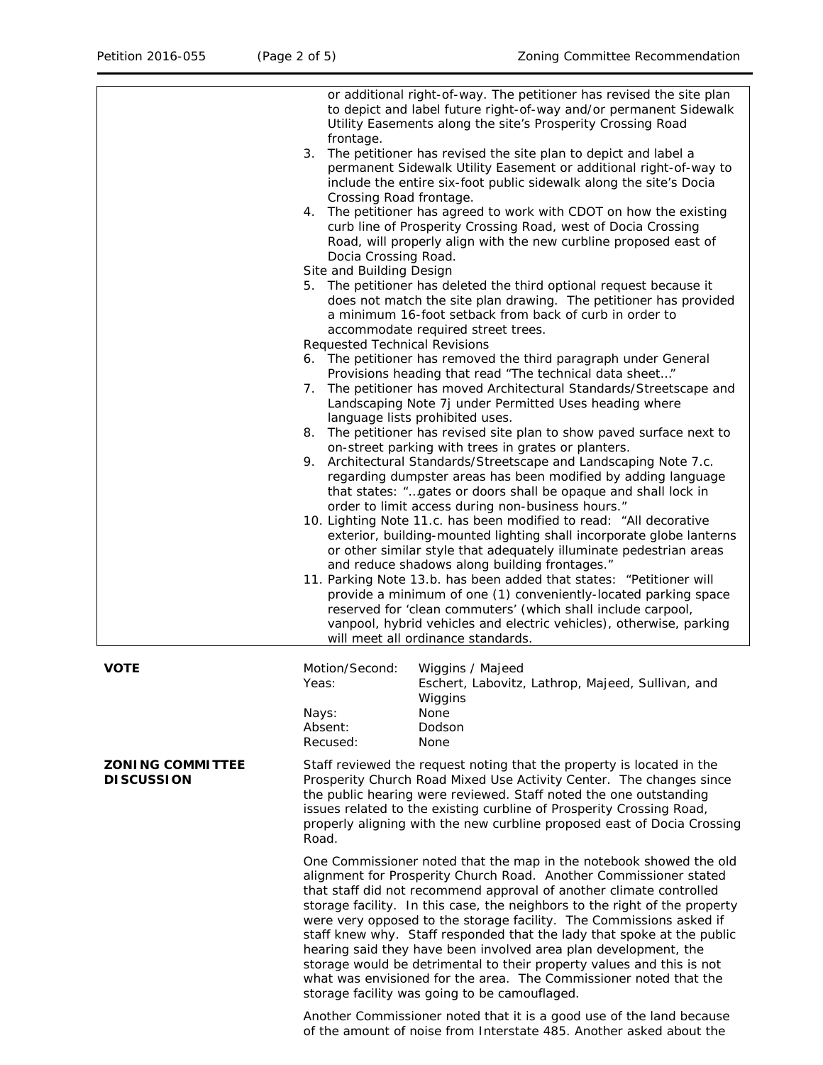|                                              | or additional right-of-way. The petitioner has revised the site plan<br>to depict and label future right-of-way and/or permanent Sidewalk<br>Utility Easements along the site's Prosperity Crossing Road<br>frontage.                                                                                                                                                                                                                                                                                                                                                                                                                                                                                           |
|----------------------------------------------|-----------------------------------------------------------------------------------------------------------------------------------------------------------------------------------------------------------------------------------------------------------------------------------------------------------------------------------------------------------------------------------------------------------------------------------------------------------------------------------------------------------------------------------------------------------------------------------------------------------------------------------------------------------------------------------------------------------------|
|                                              | The petitioner has revised the site plan to depict and label a<br>3.<br>permanent Sidewalk Utility Easement or additional right-of-way to<br>include the entire six-foot public sidewalk along the site's Docia<br>Crossing Road frontage.                                                                                                                                                                                                                                                                                                                                                                                                                                                                      |
|                                              | The petitioner has agreed to work with CDOT on how the existing<br>4.<br>curb line of Prosperity Crossing Road, west of Docia Crossing<br>Road, will properly align with the new curbline proposed east of<br>Docia Crossing Road.                                                                                                                                                                                                                                                                                                                                                                                                                                                                              |
|                                              | Site and Building Design<br>The petitioner has deleted the third optional request because it<br>5.<br>does not match the site plan drawing. The petitioner has provided<br>a minimum 16-foot setback from back of curb in order to<br>accommodate required street trees.                                                                                                                                                                                                                                                                                                                                                                                                                                        |
|                                              | <b>Requested Technical Revisions</b>                                                                                                                                                                                                                                                                                                                                                                                                                                                                                                                                                                                                                                                                            |
|                                              | 6. The petitioner has removed the third paragraph under General<br>Provisions heading that read "The technical data sheet"<br>The petitioner has moved Architectural Standards/Streetscape and<br>7.<br>Landscaping Note 7j under Permitted Uses heading where                                                                                                                                                                                                                                                                                                                                                                                                                                                  |
|                                              | language lists prohibited uses.<br>8. The petitioner has revised site plan to show paved surface next to<br>on-street parking with trees in grates or planters.                                                                                                                                                                                                                                                                                                                                                                                                                                                                                                                                                 |
|                                              | Architectural Standards/Streetscape and Landscaping Note 7.c.<br>9.<br>regarding dumpster areas has been modified by adding language<br>that states: "gates or doors shall be opaque and shall lock in<br>order to limit access during non-business hours."                                                                                                                                                                                                                                                                                                                                                                                                                                                     |
|                                              | 10. Lighting Note 11.c. has been modified to read: "All decorative<br>exterior, building-mounted lighting shall incorporate globe lanterns<br>or other similar style that adequately illuminate pedestrian areas<br>and reduce shadows along building frontages."                                                                                                                                                                                                                                                                                                                                                                                                                                               |
|                                              | 11. Parking Note 13.b. has been added that states: "Petitioner will<br>provide a minimum of one (1) conveniently-located parking space<br>reserved for 'clean commuters' (which shall include carpool,<br>vanpool, hybrid vehicles and electric vehicles), otherwise, parking<br>will meet all ordinance standards.                                                                                                                                                                                                                                                                                                                                                                                             |
| <b>VOTE</b>                                  | Motion/Second:<br>Wiggins / Majeed<br>Eschert, Labovitz, Lathrop, Majeed, Sullivan, and<br>Yeas:<br>Wiggins                                                                                                                                                                                                                                                                                                                                                                                                                                                                                                                                                                                                     |
|                                              | None<br>Nays:<br>Absent:<br>Dodson<br>Recused:<br><b>None</b>                                                                                                                                                                                                                                                                                                                                                                                                                                                                                                                                                                                                                                                   |
| <b>ZONING COMMITTEE</b><br><b>DISCUSSION</b> | Staff reviewed the request noting that the property is located in the<br>Prosperity Church Road Mixed Use Activity Center. The changes since<br>the public hearing were reviewed. Staff noted the one outstanding<br>issues related to the existing curbline of Prosperity Crossing Road,<br>properly aligning with the new curbline proposed east of Docia Crossing<br>Road.                                                                                                                                                                                                                                                                                                                                   |
|                                              | One Commissioner noted that the map in the notebook showed the old<br>alignment for Prosperity Church Road. Another Commissioner stated<br>that staff did not recommend approval of another climate controlled<br>storage facility. In this case, the neighbors to the right of the property<br>were very opposed to the storage facility. The Commissions asked if<br>staff knew why. Staff responded that the lady that spoke at the public<br>hearing said they have been involved area plan development, the<br>storage would be detrimental to their property values and this is not<br>what was envisioned for the area. The Commissioner noted that the<br>storage facility was going to be camouflaged. |
|                                              | Another Commissioner noted that it is a good use of the land because                                                                                                                                                                                                                                                                                                                                                                                                                                                                                                                                                                                                                                            |

of the amount of noise from Interstate 485. Another asked about the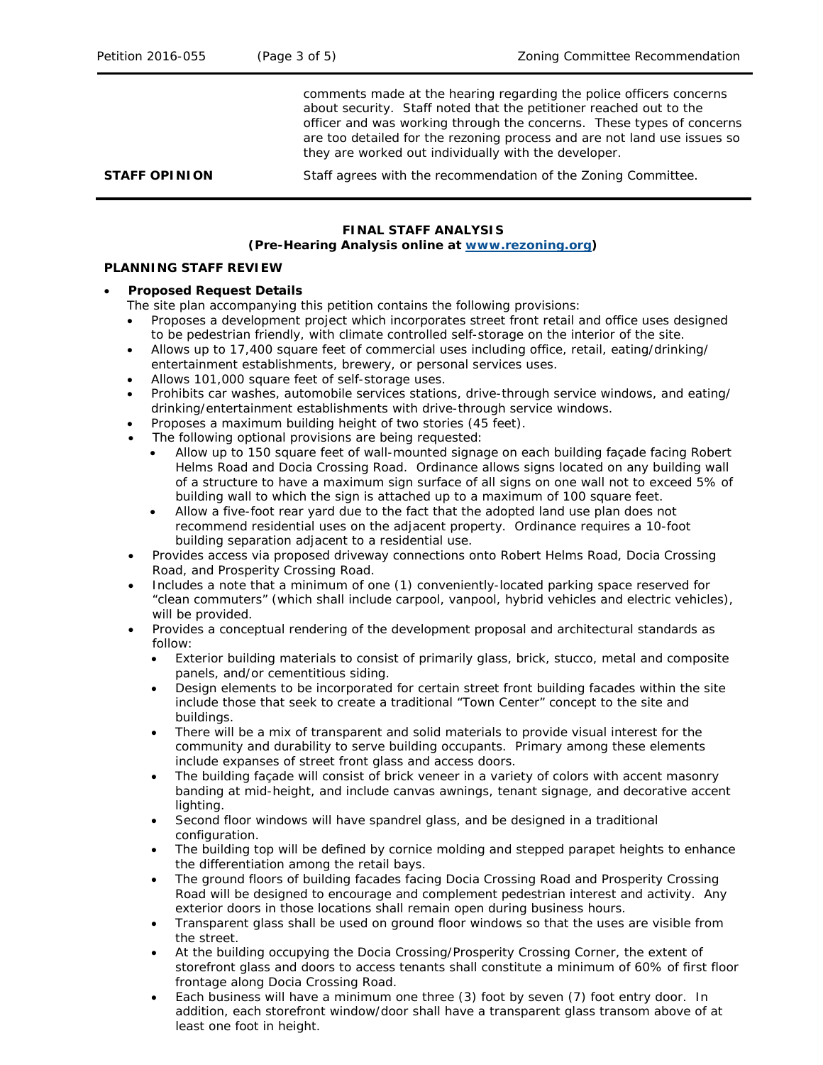comments made at the hearing regarding the police officers concerns about security. Staff noted that the petitioner reached out to the officer and was working through the concerns. These types of concerns are too detailed for the rezoning process and are not land use issues so they are worked out individually with the developer.

**STAFF OPINION** Staff agrees with the recommendation of the Zoning Committee.

### **FINAL STAFF ANALYSIS**

#### **(Pre-Hearing Analysis online at [www.rezoning.org\)](http://www.rezoning.org/)**

# **PLANNING STAFF REVIEW**

### • **Proposed Request Details**

The site plan accompanying this petition contains the following provisions:

- Proposes a development project which incorporates street front retail and office uses designed to be pedestrian friendly, with climate controlled self-storage on the interior of the site.
- Allows up to 17,400 square feet of commercial uses including office, retail, eating/drinking/ entertainment establishments, brewery, or personal services uses.
- Allows 101,000 square feet of self-storage uses.
- Prohibits car washes, automobile services stations, drive-through service windows, and eating/ drinking/entertainment establishments with drive-through service windows.
- Proposes a maximum building height of two stories (45 feet).
- The following optional provisions are being requested:
	- Allow up to 150 square feet of wall-mounted signage on each building façade facing Robert Helms Road and Docia Crossing Road. Ordinance allows signs located on any building wall of a structure to have a maximum sign surface of all signs on one wall not to exceed 5% of building wall to which the sign is attached up to a maximum of 100 square feet.
	- Allow a five-foot rear yard due to the fact that the adopted land use plan does not recommend residential uses on the adjacent property. Ordinance requires a 10-foot building separation adjacent to a residential use.
- Provides access via proposed driveway connections onto Robert Helms Road, Docia Crossing Road, and Prosperity Crossing Road.
- Includes a note that a minimum of one (1) conveniently-located parking space reserved for "clean commuters" (which shall include carpool, vanpool, hybrid vehicles and electric vehicles), will be provided.
- Provides a conceptual rendering of the development proposal and architectural standards as follow:
	- Exterior building materials to consist of primarily glass, brick, stucco, metal and composite panels, and/or cementitious siding.
	- Design elements to be incorporated for certain street front building facades within the site include those that seek to create a traditional "Town Center" concept to the site and buildings.
	- There will be a mix of transparent and solid materials to provide visual interest for the community and durability to serve building occupants. Primary among these elements include expanses of street front glass and access doors.
	- The building façade will consist of brick veneer in a variety of colors with accent masonry banding at mid-height, and include canvas awnings, tenant signage, and decorative accent lighting.
	- Second floor windows will have spandrel glass, and be designed in a traditional configuration.
	- The building top will be defined by cornice molding and stepped parapet heights to enhance the differentiation among the retail bays.
	- The ground floors of building facades facing Docia Crossing Road and Prosperity Crossing Road will be designed to encourage and complement pedestrian interest and activity. Any exterior doors in those locations shall remain open during business hours.
	- Transparent glass shall be used on ground floor windows so that the uses are visible from the street.
	- At the building occupying the Docia Crossing/Prosperity Crossing Corner, the extent of storefront glass and doors to access tenants shall constitute a minimum of 60% of first floor frontage along Docia Crossing Road.
	- Each business will have a minimum one three (3) foot by seven (7) foot entry door. In addition, each storefront window/door shall have a transparent glass transom above of at least one foot in height.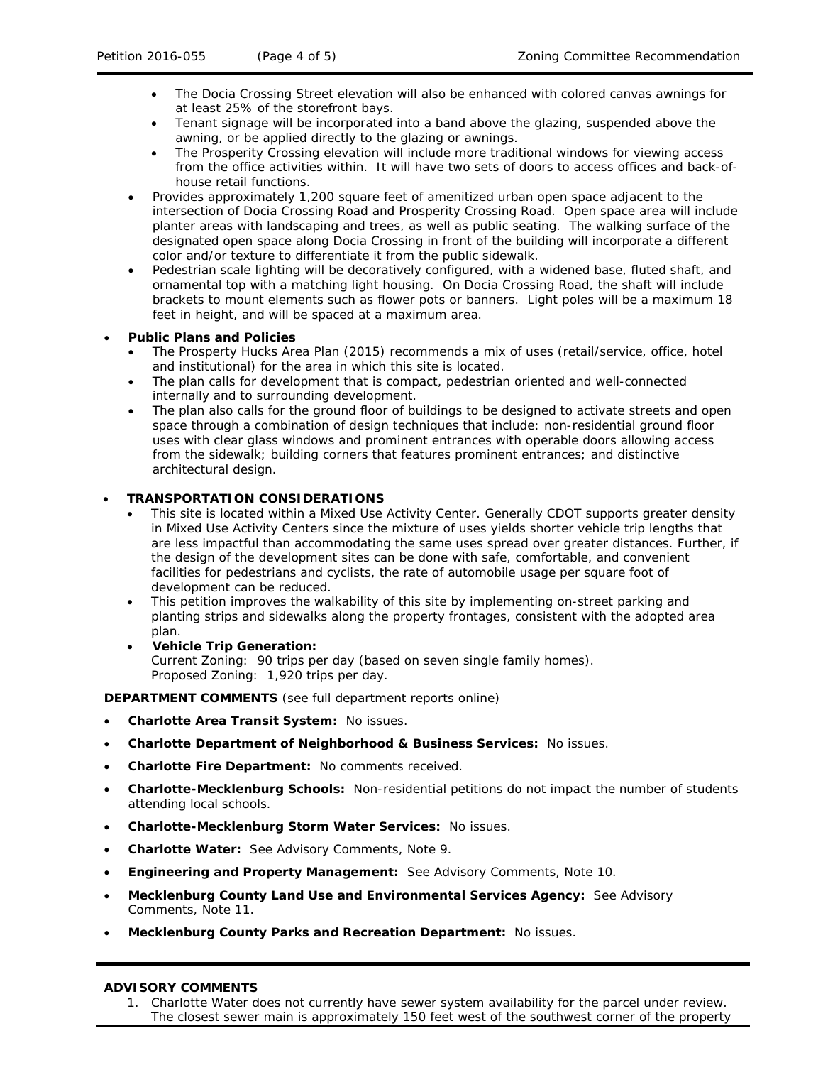- The Docia Crossing Street elevation will also be enhanced with colored canvas awnings for at least 25% of the storefront bays.
- Tenant signage will be incorporated into a band above the glazing, suspended above the awning, or be applied directly to the glazing or awnings.
- The Prosperity Crossing elevation will include more traditional windows for viewing access from the office activities within. It will have two sets of doors to access offices and back-ofhouse retail functions.
- Provides approximately 1,200 square feet of amenitized urban open space adjacent to the intersection of Docia Crossing Road and Prosperity Crossing Road. Open space area will include planter areas with landscaping and trees, as well as public seating. The walking surface of the designated open space along Docia Crossing in front of the building will incorporate a different color and/or texture to differentiate it from the public sidewalk.
- Pedestrian scale lighting will be decoratively configured, with a widened base, fluted shaft, and ornamental top with a matching light housing. On Docia Crossing Road, the shaft will include brackets to mount elements such as flower pots or banners. Light poles will be a maximum 18 feet in height, and will be spaced at a maximum area.

### • **Public Plans and Policies**

- The Prosperty Hucks Area Plan (2015) recommends a mix of uses (retail/service, office, hotel and institutional) for the area in which this site is located.
- The plan calls for development that is compact, pedestrian oriented and well-connected internally and to surrounding development.
- The plan also calls for the ground floor of buildings to be designed to activate streets and open space through a combination of design techniques that include: non-residential ground floor uses with clear glass windows and prominent entrances with operable doors allowing access from the sidewalk; building corners that features prominent entrances; and distinctive architectural design.

### • **TRANSPORTATION CONSIDERATIONS**

- This site is located within a Mixed Use Activity Center. Generally CDOT supports greater density in Mixed Use Activity Centers since the mixture of uses yields shorter vehicle trip lengths that are less impactful than accommodating the same uses spread over greater distances. Further, if the design of the development sites can be done with safe, comfortable, and convenient facilities for pedestrians and cyclists, the rate of automobile usage per square foot of development can be reduced.
- This petition improves the walkability of this site by implementing on-street parking and planting strips and sidewalks along the property frontages, consistent with the adopted area plan.
- **Vehicle Trip Generation:**  Current Zoning: 90 trips per day (based on seven single family homes). Proposed Zoning: 1,920 trips per day.

**DEPARTMENT COMMENTS** (see full department reports online)

- **Charlotte Area Transit System:** No issues.
- **Charlotte Department of Neighborhood & Business Services:** No issues.
- **Charlotte Fire Department:** No comments received.
- **Charlotte-Mecklenburg Schools:** Non-residential petitions do not impact the number of students attending local schools.
- **Charlotte-Mecklenburg Storm Water Services:** No issues.
- **Charlotte Water:** See Advisory Comments, Note 9.
- **Engineering and Property Management:** See Advisory Comments, Note 10.
- **Mecklenburg County Land Use and Environmental Services Agency:** See Advisory Comments, Note 11.
- **Mecklenburg County Parks and Recreation Department:** No issues.

#### **ADVISORY COMMENTS**

1. Charlotte Water does not currently have sewer system availability for the parcel under review. The closest sewer main is approximately 150 feet west of the southwest corner of the property